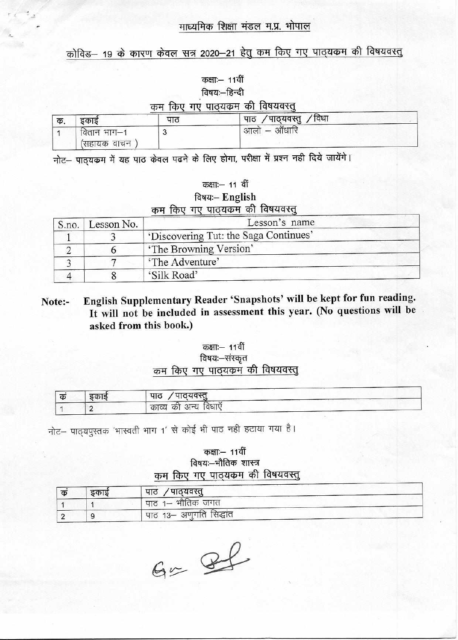### माध्यमिक शिक्षा मंडल म.प्र. भोपाल

# कोविड– 19 के कारण केवल सत्र 2020–21 हेतु कम किए गए पाठ्यकम की विषयवस्तु

कक्षाः – 11वीं विषय:-हिन्दी

|    |                             |     | कम किए गए पाठ्यकम की विषयवस्तू |  |
|----|-----------------------------|-----|--------------------------------|--|
| Ф. | डकाड                        | पाठ | पाठ /पाठ्यवस्तु /विधा          |  |
|    | वितान भाग—1<br>(सहायक वाचन) |     | आलो                            |  |

नोट- पाठ्यकम में यह पाठ केवल पढने के लिए होगा, परीक्षा में प्रश्न नही दिये जायेंगे।

| कक्षाः— 11 वी    |                 |  |
|------------------|-----------------|--|
| $F_{\text{atm}}$ | $\Gamma$ nglich |  |

|  | $1999 - 121$ gusu |                                  |
|--|-------------------|----------------------------------|
|  |                   | कम किए गए पाठ्यक्रम की विषयवस्तु |

| S.no. | Lesson No. | Lesson's name                         |
|-------|------------|---------------------------------------|
|       |            | 'Discovering Tut: the Saga Continues' |
|       |            | 'The Browning Version'                |
|       |            | 'The Adventure'                       |
|       |            | 'Silk Road'                           |

English Supplementary Reader 'Snapshots' will be kept for fun reading. Note:-It will not be included in assessment this year. (No questions will be asked from this book.)

#### कक्षाः – 11वीं विषयः-संस्कृत कम किए गए पाठ्यकम की विषयवस्तु

| दकाद | पाठ /पाठ्यवस्तु        |
|------|------------------------|
|      | ' काव्य की अन्य विधाएँ |

नोट- पाठ्यपुस्तक 'भास्वती भाग 1' से कोई भी पाठ नही हटाया गया है।

#### कक्षाः- 11वीं विषयः-भौतिक शास्त्र कम किए गए पाठ्यकम की विषयवस्तु

| क | डकाड | पाठ /पाठ्यवस्तु                      |
|---|------|--------------------------------------|
|   |      | पाठ 1– भौतिक जगत                     |
|   |      | <sup>।</sup> पाठ 13– अणुगति सिद्धांत |

 $G = 86$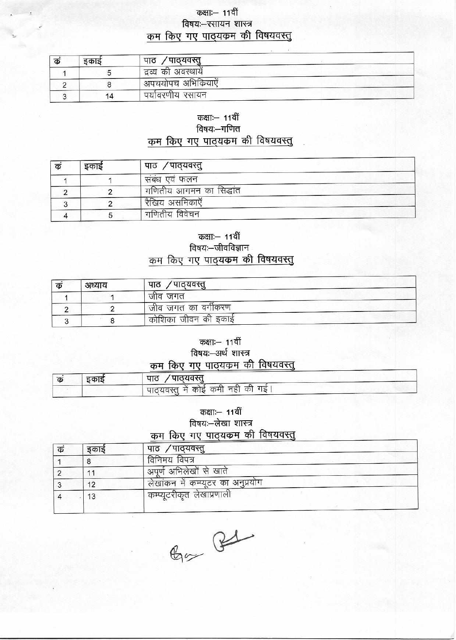#### कक्षाः – 11वीं विषयः-रसायन शास्त्र कम किए गए पाठ्यक्रम की विषयवस्तु

| क | इकाइ | ∕ पाठ्यवस्तु<br>पाठ   |
|---|------|-----------------------|
|   |      | ं द्रव्य की अवस्थायें |
|   |      | अपचयोपच अभिक्रियाएँ   |
|   | 14   | पर्यावरणीय रसायन      |

## कक्षाः- 11वीं

विषयः-गणित

कम किए गए पाठ्यकम की विषयवस्तु

| क | इकाई | पाठ ⁄पाठ्यवस्तु         |
|---|------|-------------------------|
|   |      | संबंध एवं फलन           |
|   |      | गणितीय आगमन का सिद्धांत |
|   |      | रैखिय असमिकाएँ          |
|   |      | गणितीय विवेचन           |

#### कक्षाः— 11वीं विषयः—जीवविज्ञान कम किए गए पाठ्यकम की विषयवस्तु

| क | अध्याय | पाठ ⁄पाठ्यवस्तु     |
|---|--------|---------------------|
|   |        | जीव जगत             |
|   |        | । जीव जगत का वगीकरण |
|   |        | कोशिका जीवन की इकाई |

कक्षाः – 11वीं

#### विषयः-अर्थ शास्त्र

#### कम किए गए पाठयकम की विषयवस्तू

| ਨ | दकाड | ⁄ पाठयवस्त<br>पाठ                    |  |
|---|------|--------------------------------------|--|
|   |      | । पाठ्यवस्तू में कोई कमी नहीं की गई। |  |

कक्षाः- 11वीं

#### विषयः-लेखा शास्त्र

# कम किए गए पाठ्यकम की विषयवस्तु

| क | डकाड | / पाठ्यवस्तु<br>पाठ                |
|---|------|------------------------------------|
|   |      | विनिमय विपत्र                      |
|   |      | अपूर्ण अभिलेखों से खाते            |
| ت | 12   | लेखांकन में कम्प्यूटर का अनुप्रयोग |
|   | 13   | कम्प्यूटरीकृत लेखाप्रणाली          |
|   |      |                                    |

 $C_{\text{max}}$  B1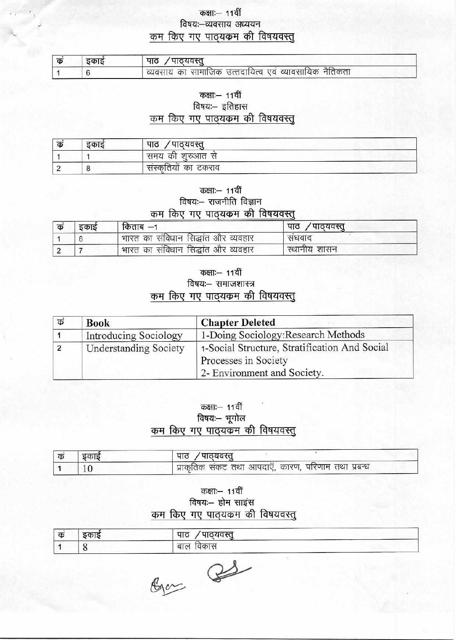#### कक्षाः- 11वीं विषयः-व्यवसाय अध्ययन कम किए गए पाठ्यकम की विषयवस्तु

| कं | डकाड | पाठ /पाठ्यवस्तू                                                     |
|----|------|---------------------------------------------------------------------|
|    |      | <sup>।</sup> व्यवसाय का सामाजिक उत्ततदायित्व एवं व्यावसायिक नैतिकता |

#### कक्षाः- 11वीं

#### विषयः- इतिहास कम किए गए पाठ्यक्रम की विषयवस्तु

| क | 7757 | पाठ<br>पाठयवस्तु     |
|---|------|----------------------|
|   |      | ंसमय की शुरुआत से    |
|   |      | संस्कृतियों का टकराव |

#### कक्षाः— 11वीं विषयः- राजनीति विज्ञान कम किए गए पाठयकम की विषयवस्त

| क | इकाई | किताब $-1$                          | पाठ ⁄पाठ्यवस्तु |
|---|------|-------------------------------------|-----------------|
|   |      | भारत का संविधान सिद्धांत और व्यवहार | संघवाद          |
|   |      | भारत का संविधान सिद्धांत और व्यवहार | स्थानीय शासन    |

#### कक्षाः – 11वीं विषयः- समाजशास्त्र कम किए गए पाठ्यकम की विषयवस्तु

| कं | <b>Book</b>                  | <b>Chapter Deleted</b>                                                |
|----|------------------------------|-----------------------------------------------------------------------|
|    | <b>Introducing Sociology</b> | 1-Doing Sociology: Research Methods                                   |
|    | <b>Understanding Society</b> | 1-Social Structure, Stratification And Social<br>Processes in Society |
|    |                              | 2- Environment and Society.                                           |

#### कक्षाः— 11वीं विषयः- भूगोल कम किए गए पाठ्यक्रम की विषयवस्तू

| । क | डकाइ | पाठ ⁄पाठयवस्तू                                        |
|-----|------|-------------------------------------------------------|
|     |      | । प्राकृतिक संकट तथा आपदाएँ, कारण, परिणाम तथा प्रबन्ध |

#### कक्षाः- 11वीं विषयः- होम साइंस कम किए गए पाठ्यकम की विषयवस्तु

| क | ----- | गरगतस्त<br><b>YIC</b>                  |
|---|-------|----------------------------------------|
|   |       | Q G<br>The property of the property of |

 $g_{\mu\nu}$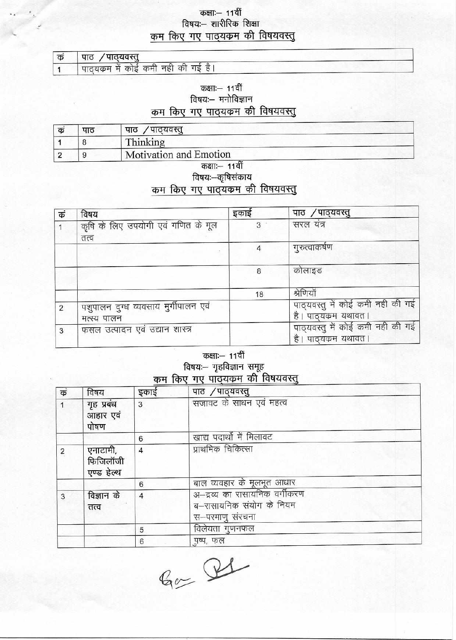# कक्षाः— 11वीं<br>विषयः— शारीरिक शिक्षा कम किए गए पाठ्यकम की विषयवस्तु

| । क | पाठ ⁄ पाठ्यवस्तु                    |
|-----|-------------------------------------|
|     | ' पाठयकम में कोई कमी नहीं की गई है। |

कक्षाः— 11वीं विषयः- मनोविज्ञान कम किए गए पाठ्यकम की विषयवस्तु

| क | पाट | पाठ ⁄पाठ्यवस्तू        |
|---|-----|------------------------|
|   |     | Thinking               |
|   |     | Motivation and Emotion |
|   |     | $752T - 447T$          |

#### qı विषयः—कृषिसंकाय

## कम किए गए पाउँयक्रम की विषयवस्तु

| क              | विषय                                              | इकाई | पाठ ⁄पाठ्यवस्तु                                          |
|----------------|---------------------------------------------------|------|----------------------------------------------------------|
|                | कृषि के लिए उपयोगी एवं गणित के मूल<br>तत्व        | 3    | सरल यंत्र                                                |
|                |                                                   |      | गुरुत्वाकर्षण                                            |
|                |                                                   | 8    | कोलाइड                                                   |
|                |                                                   | 18   | श्रेणियाँ                                                |
| $\overline{2}$ | पशुपालन दुग्ध व्यवसाय मुगीपालन एवं<br>मत्स्य पालन |      | पाठ्यवस्तु में कोई कमी नही की गई<br>है। पाठ्यक्रम यथावत। |
| 3              | फसल उत्पादन एवं उद्यान शास्त्र                    |      | पाठ्यवस्तु में कोई कमी नही की गई<br>है। पाठ्यक्रम यथावत। |

# कक्षाः— 11वीं

्त्रज्ञाः<br>किषयः— गृहविज्ञान समूह<br>कम किए गए पाठ्यकम की विषयवस्तु

| कं             | विषय                               | इकाई           | पाठ ⁄पाठ्यवस्तु                                                              |
|----------------|------------------------------------|----------------|------------------------------------------------------------------------------|
|                | गृह प्रबंध<br>आहार एवं<br>पोषण     | 3              | सजावट के साधन एवं महत्व                                                      |
|                |                                    | 6              | खाद्य पदार्थो में मिलावट                                                     |
| $\overline{c}$ | एनाटामी,<br>फिजिलॉजी<br>एण्ड हेल्थ | 4              | प्राथमिक चिकित्सा                                                            |
|                |                                    | 6              | बाल व्यवहार के मूलभूत आधार                                                   |
| 3              | विज्ञान के<br>तत्व                 | $\overline{4}$ | अ-द्रव्य का रासायनिक वर्गीकरण<br>ब–रासायनिक संयोग के नियम<br>स–परमाणु संरचना |
|                |                                    | 5              | विलेयता गुणनफल                                                               |
|                |                                    | 6              | पुष्प, फल                                                                    |

 $Q_{ex}$  Q1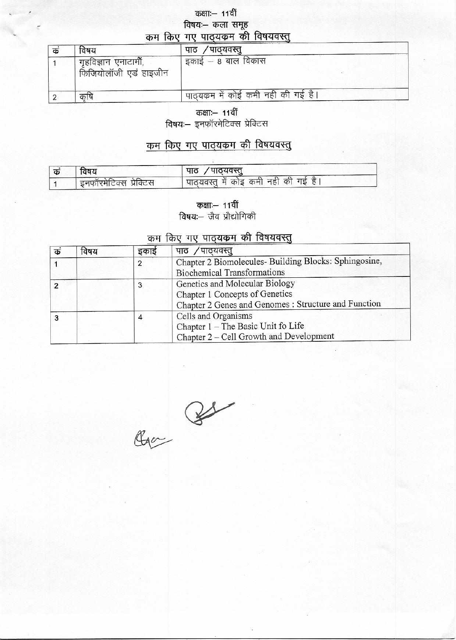# कक्षाः- 11वीं विषयः– कला समूह<br>कम किए गए पाठयकम की विषयवस्तु

| क | विषय                                           | ′पाठ्यवस्तू<br>पाठ                |  |
|---|------------------------------------------------|-----------------------------------|--|
|   | गृहविज्ञान एनाटार्मी,<br>फिजियोलॉजी एडं हाइजीन | ' इकाई – 8 बाल विकास              |  |
|   |                                                | पाठ्यकम में कोई कमी नही की गई है। |  |

कक्षाः- 11वीं

विषयः-- इनफॉरमेटिक्स प्रेक्टिस

## कम किए गए पाठ्यक्रम की विषयवस्तु

| खषय                    | पाठ /पाठ्यवस्तु                         |
|------------------------|-----------------------------------------|
| इनफॉरमेटिक्स प्रेक्टिस | ' पाठ्यवस्तु में कोइ कमी नहीं की गई है। |

कक्षाः- 11वीं **विषय:--** जैव प्रौद्योगिकी

#### कम किए गए पाठ्यक्रम की विषयवस्तु

| क | विषय | इकाइ | पाठ /पाठ्यवस्तू                                                                                                          |
|---|------|------|--------------------------------------------------------------------------------------------------------------------------|
|   |      | 2    | Chapter 2 Biomolecules- Building Blocks: Sphingosine,<br><b>Biochemical Transformations</b>                              |
| ာ |      | 3    | Genetics and Molecular Biology<br>Chapter 1 Concepts of Genetics<br>Chapter 2 Genes and Genomes : Structure and Function |
| 3 |      | 4    | Cells and Organisms<br>Chapter 1 - The Basic Unit fo Life<br>Chapter 2 - Cell Growth and Development                     |

 $Q_{1} = \frac{Q_{2}}{Q_{1} + \frac{Q_{1}}{Q_{2} + \cdots + \frac{Q_{N}}{Q_{N}}}$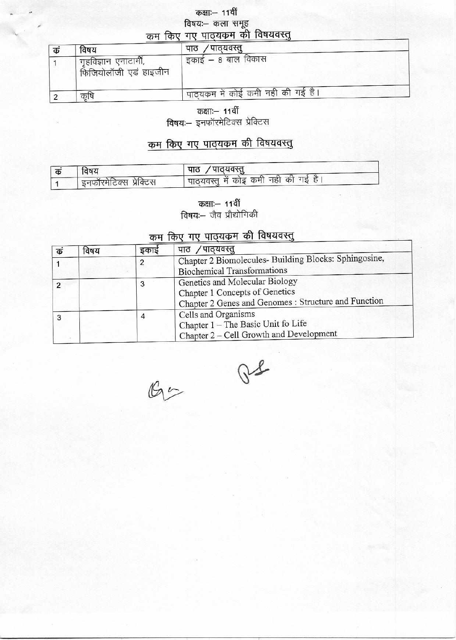# कक्षाः- 11वीं विषयः– कला समूह<br>कम किए गए पाठयकम की विषयवस्तू

| कं | विषय                                          | / पाठ्यवस्तु<br>पाठ                   |
|----|-----------------------------------------------|---------------------------------------|
|    | गृहविज्ञान एनाटार्मी,<br>फिजियोलॉजी एड हाइजीन | इकाई – 8 बाल विकास                    |
|    | कृषि                                          | ' पाठ्यक्रम में कोई कमी नही की गई है। |

कक्षाः— 11वीं

विषयः- इनफॉरमेटिक्स प्रेक्टिस

# कम किए गए पाठ्यकम की विषयवस्तु

| विषय                   | ं पाठ  / पाठ्यवस्तु                     |
|------------------------|-----------------------------------------|
| इनफॉरमेटिक्स प्रेक्टिस | ' पाठुयवस्तु में कोइ कमी नहीं की गई है। |

कक्षाः— 11वीं विषयः-- जैव प्रौद्योगिकी

#### कम किए गए पाठ्यकम की विषयवस्तु

| क | विषय | इकाई | पाठ /पाठ्यवस्तु                                                                                                          |
|---|------|------|--------------------------------------------------------------------------------------------------------------------------|
|   |      | 2    | Chapter 2 Biomolecules- Building Blocks: Sphingosine,<br><b>Biochemical Transformations</b>                              |
| 2 |      | 3    | Genetics and Molecular Biology<br>Chapter 1 Concepts of Genetics<br>Chapter 2 Genes and Genomes : Structure and Function |
| 3 |      |      | Cells and Organisms<br>Chapter 1 - The Basic Unit fo Life<br>Chapter 2 - Cell Growth and Development                     |

 $\mathbb{G}$ 

 $Qf$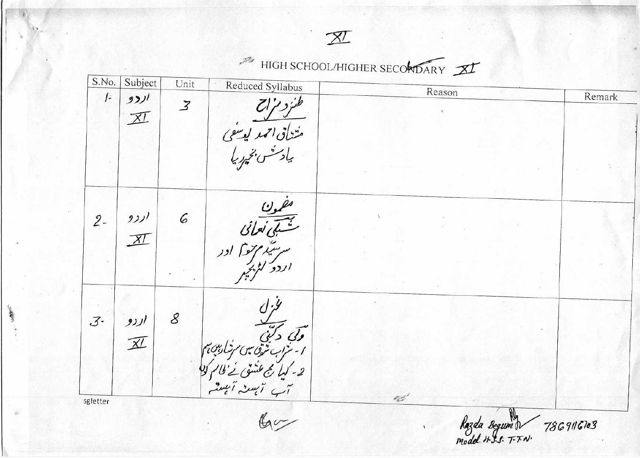# HIGH SCHOOL/HIGHER SECONDARY

| Reason<br>Remark        |
|-------------------------|
|                         |
|                         |
|                         |
|                         |
| Razda Begunh 7869116103 |